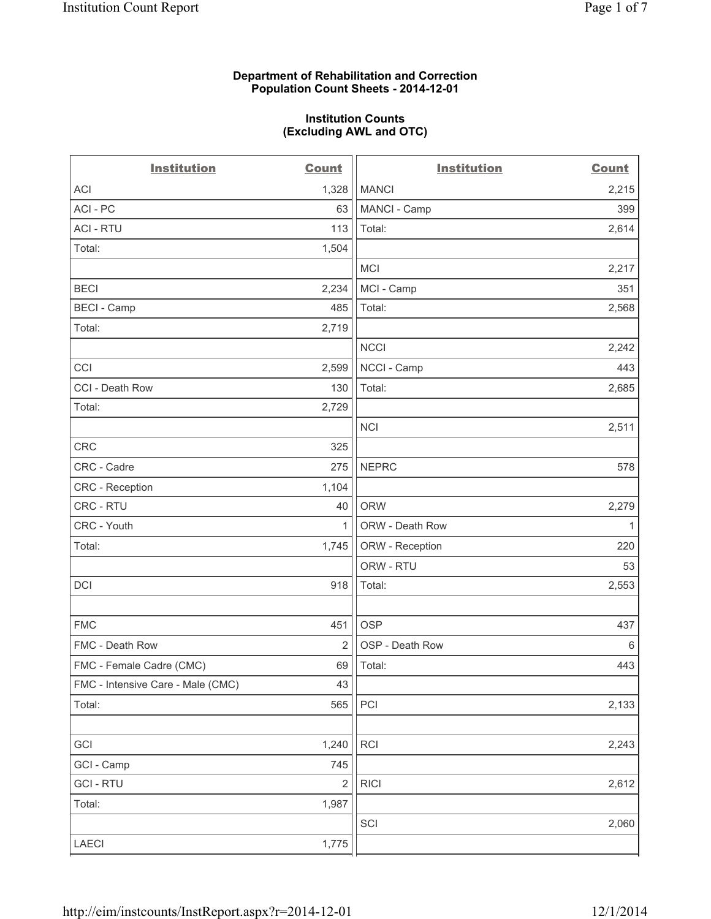### **Department of Rehabilitation and Correction Population Count Sheets - 2014-12-01**

#### **Institution Counts (Excluding AWL and OTC)**

| <b>Institution</b>                | <b>Count</b>   | <b>Institution</b> | <b>Count</b> |
|-----------------------------------|----------------|--------------------|--------------|
| <b>ACI</b>                        | 1,328          | <b>MANCI</b>       | 2,215        |
| ACI - PC                          | 63             | MANCI - Camp       | 399          |
| <b>ACI - RTU</b>                  | 113            | Total:             | 2,614        |
| Total:                            | 1,504          |                    |              |
|                                   |                | <b>MCI</b>         | 2,217        |
| <b>BECI</b>                       | 2,234          | MCI - Camp         | 351          |
| <b>BECI - Camp</b>                | 485            | Total:             | 2,568        |
| Total:                            | 2,719          |                    |              |
|                                   |                | <b>NCCI</b>        | 2,242        |
| CCI                               | 2,599          | NCCI - Camp        | 443          |
| CCI - Death Row                   | 130            | Total:             | 2,685        |
| Total:                            | 2,729          |                    |              |
|                                   |                | <b>NCI</b>         | 2,511        |
| CRC                               | 325            |                    |              |
| CRC - Cadre                       | 275            | <b>NEPRC</b>       | 578          |
| CRC - Reception                   | 1,104          |                    |              |
| CRC - RTU                         | 40             | <b>ORW</b>         | 2,279        |
| CRC - Youth                       | 1              | ORW - Death Row    | 1            |
| Total:                            | 1,745          | ORW - Reception    | 220          |
|                                   |                | ORW - RTU          | 53           |
| DCI                               | 918            | Total:             | 2,553        |
|                                   |                |                    |              |
| <b>FMC</b>                        | 451            | <b>OSP</b>         | 437          |
| FMC - Death Row                   | $\overline{2}$ | OSP - Death Row    | 6            |
| FMC - Female Cadre (CMC)          | 69             | Total:             | 443          |
| FMC - Intensive Care - Male (CMC) | 43             |                    |              |
| Total:                            | 565            | PCI                | 2,133        |
|                                   |                |                    |              |
| GCI                               | 1,240          | RCI                | 2,243        |
| GCI - Camp                        | 745            |                    |              |
| <b>GCI - RTU</b>                  | $\mathbf 2$    | <b>RICI</b>        | 2,612        |
| Total:                            | 1,987          |                    |              |
|                                   |                | SCI                | 2,060        |
| LAECI                             | 1,775          |                    |              |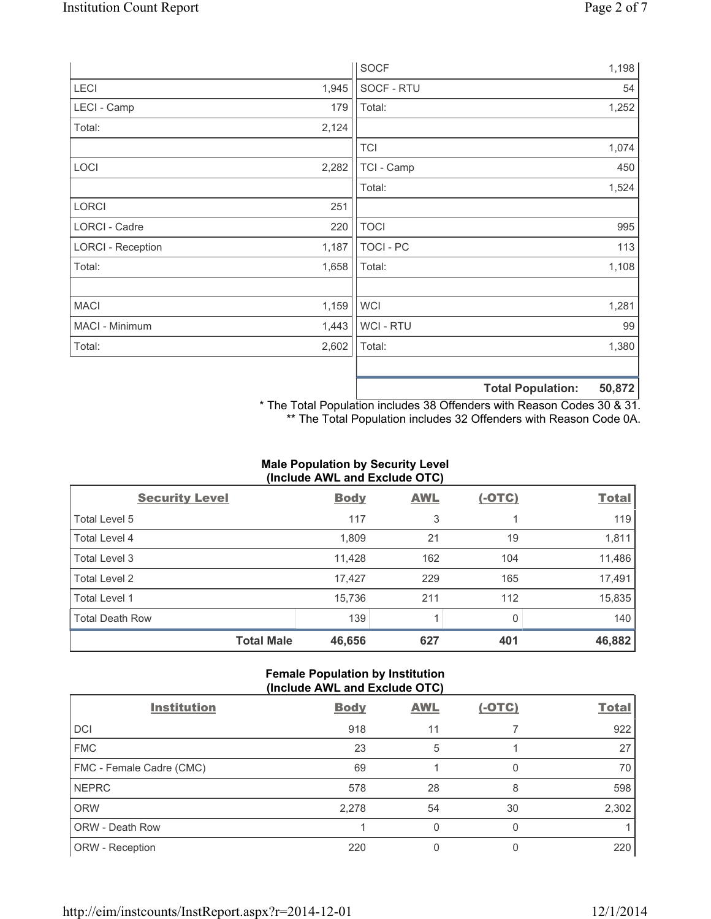|                          |       | <b>SOCF</b>      |                          | 1,198  |
|--------------------------|-------|------------------|--------------------------|--------|
| LECI                     | 1,945 | SOCF - RTU       |                          | 54     |
| LECI - Camp              | 179   | Total:           |                          | 1,252  |
| Total:                   | 2,124 |                  |                          |        |
|                          |       | <b>TCI</b>       |                          | 1,074  |
| LOCI                     | 2,282 | TCI - Camp       |                          | 450    |
|                          |       | Total:           |                          | 1,524  |
| LORCI                    | 251   |                  |                          |        |
| LORCI - Cadre            | 220   | <b>TOCI</b>      |                          | 995    |
| <b>LORCI - Reception</b> | 1,187 | <b>TOCI - PC</b> |                          | 113    |
| Total:                   | 1,658 | Total:           |                          | 1,108  |
|                          |       |                  |                          |        |
| <b>MACI</b>              | 1,159 | <b>WCI</b>       |                          | 1,281  |
| MACI - Minimum           | 1,443 | WCI - RTU        |                          | 99     |
| Total:                   | 2,602 | Total:           |                          | 1,380  |
|                          |       |                  |                          |        |
|                          |       |                  | <b>Total Population:</b> | 50,872 |

\* The Total Population includes 38 Offenders with Reason Codes 30 & 31. \*\* The Total Population includes 32 Offenders with Reason Code 0A.

# **Male Population by Security Level (Include AWL and Exclude OTC)**

| <b>Security Level</b>  | <b>Body</b> | <b>AWL</b> | <u>(-OTC)</u> | <b>Total</b> |
|------------------------|-------------|------------|---------------|--------------|
| Total Level 5          | 117         | 3          |               | 119          |
| Total Level 4          | 1,809       | 21         | 19            | 1,811        |
| Total Level 3          | 11,428      | 162        | 104           | 11,486       |
| Total Level 2          | 17,427      | 229        | 165           | 17,491       |
| Total Level 1          | 15,736      | 211        | 112           | 15,835       |
| <b>Total Death Row</b> | 139         |            | 0             | 140          |
| <b>Total Male</b>      | 46,656      | 627        | 401           | 46,882       |

## **Female Population by Institution (Include AWL and Exclude OTC)**

| <b>Institution</b>       | <b>Body</b> | <b>AWL</b> | $(-OTC)$ | <b>Total</b> |
|--------------------------|-------------|------------|----------|--------------|
| <b>DCI</b>               | 918         | 11         |          | 922          |
| <b>FMC</b>               | 23          | 5          |          | 27           |
| FMC - Female Cadre (CMC) | 69          |            | 0        | 70           |
| <b>NEPRC</b>             | 578         | 28         | 8        | 598          |
| <b>ORW</b>               | 2,278       | 54         | 30       | 2,302        |
| ORW - Death Row          |             | 0          | O        |              |
| ORW - Reception          | 220         |            |          | 220          |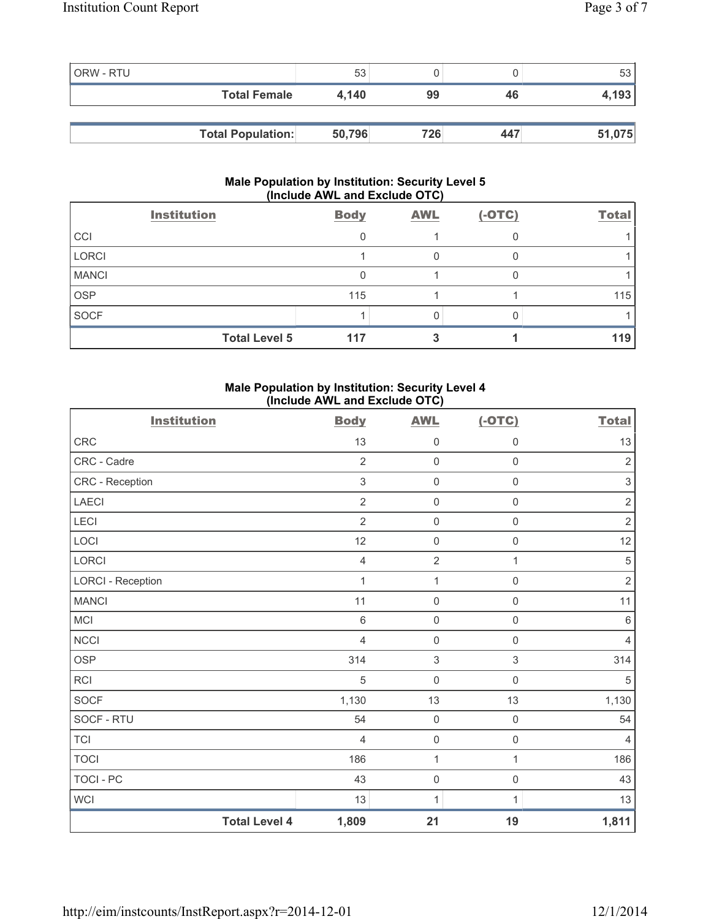| <b>ORW - RTU</b> |                          | 53     |     |     | 53     |
|------------------|--------------------------|--------|-----|-----|--------|
|                  | <b>Total Female</b>      | 4.140  | 99  | 46  | 4,193  |
|                  |                          |        |     |     |        |
|                  | <b>Total Population:</b> | 50,796 | 726 | 447 | 51,075 |

### **Male Population by Institution: Security Level 5 (Include AWL and Exclude OTC)**

|              | <b>Institution</b>   | <b>Body</b> | <b>AWL</b> | $(-OTC)$ | <b>Total</b> |
|--------------|----------------------|-------------|------------|----------|--------------|
| CCI          |                      |             |            |          |              |
| <b>LORCI</b> |                      |             |            |          |              |
| <b>MANCI</b> |                      |             |            |          |              |
| <b>OSP</b>   |                      | 115         |            |          | 115          |
| <b>SOCF</b>  |                      |             |            |          |              |
|              | <b>Total Level 5</b> | 117         |            |          | 119          |

### **Male Population by Institution: Security Level 4 (Include AWL and Exclude OTC)**

| <b>Institution</b>       |                      | <b>Body</b>    | <b>AWL</b>          | $(-OTC)$            | <b>Total</b>   |
|--------------------------|----------------------|----------------|---------------------|---------------------|----------------|
| <b>CRC</b>               |                      | 13             | $\mathsf 0$         | 0                   | 13             |
| CRC - Cadre              |                      | $\overline{2}$ | $\mathsf{O}\xspace$ | $\mathsf 0$         | $\sqrt{2}$     |
| CRC - Reception          |                      | $\mathfrak{S}$ | $\mathbf 0$         | $\mathsf{O}\xspace$ | $\sqrt{3}$     |
| <b>LAECI</b>             |                      | $\overline{2}$ | $\mathsf 0$         | $\mathsf 0$         | $\sqrt{2}$     |
| <b>LECI</b>              |                      | $\overline{2}$ | $\mathsf 0$         | $\mathsf{O}\xspace$ | $\sqrt{2}$     |
| LOCI                     |                      | 12             | $\mathbf 0$         | $\mathsf 0$         | 12             |
| <b>LORCI</b>             |                      | $\overline{4}$ | $\overline{2}$      | $\mathbf{1}$        | $\overline{5}$ |
| <b>LORCI - Reception</b> |                      | 1              | $\mathbf{1}$        | $\mathsf{O}\xspace$ | $\overline{2}$ |
| <b>MANCI</b>             |                      | 11             | $\mathbf 0$         | $\mathsf{O}\xspace$ | 11             |
| MCI                      |                      | $\,6\,$        | $\mathsf 0$         | $\mathsf 0$         | $\,6\,$        |
| <b>NCCI</b>              |                      | $\overline{4}$ | $\mathsf 0$         | $\mathsf 0$         | $\overline{4}$ |
| <b>OSP</b>               |                      | 314            | $\,$ 3 $\,$         | $\mathfrak{S}$      | 314            |
| RCI                      |                      | $\sqrt{5}$     | $\mathbf 0$         | $\mathsf{O}\xspace$ | $\sqrt{5}$     |
| <b>SOCF</b>              |                      | 1,130          | 13                  | 13                  | 1,130          |
| SOCF - RTU               |                      | 54             | $\mathbf 0$         | $\mathsf{O}\xspace$ | 54             |
| <b>TCI</b>               |                      | $\overline{4}$ | $\mathsf{O}\xspace$ | $\mathsf 0$         | $\overline{4}$ |
| <b>TOCI</b>              |                      | 186            | $\mathbf{1}$        | $\mathbf{1}$        | 186            |
| TOCI - PC                |                      | 43             | $\mathsf 0$         | $\mathsf 0$         | 43             |
| <b>WCI</b>               |                      | 13             | 1                   | 1                   | 13             |
|                          | <b>Total Level 4</b> | 1,809          | 21                  | 19                  | 1,811          |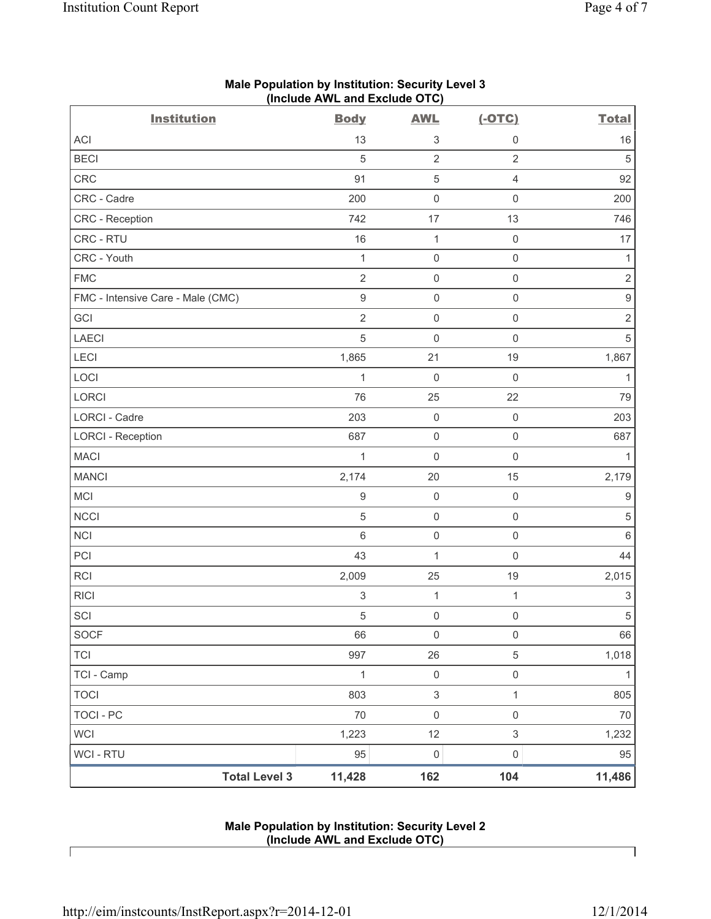| <b>Institution</b>                | <b>Body</b>      | <b>AWL</b>          | $(-OTC)$                  | <b>Total</b>              |
|-----------------------------------|------------------|---------------------|---------------------------|---------------------------|
| <b>ACI</b>                        | 13               | 3                   | $\mathbf 0$               | 16                        |
| <b>BECI</b>                       | 5                | $\overline{2}$      | $\overline{2}$            | $\sqrt{5}$                |
| CRC                               | 91               | $\,$ 5 $\,$         | $\overline{4}$            | 92                        |
| CRC - Cadre                       | 200              | $\mathsf{O}\xspace$ | $\mathsf 0$               | 200                       |
| CRC - Reception                   | 742              | 17                  | 13                        | 746                       |
| CRC - RTU                         | 16               | 1                   | $\mathsf 0$               | 17                        |
| CRC - Youth                       | $\mathbf{1}$     | $\mathsf{O}\xspace$ | $\mathsf 0$               | 1                         |
| <b>FMC</b>                        | $\overline{2}$   | $\mathsf{O}\xspace$ | $\mathsf{O}\xspace$       | $\overline{2}$            |
| FMC - Intensive Care - Male (CMC) | $\mathsf g$      | $\mathsf 0$         | $\mathsf 0$               | $\mathsf g$               |
| GCI                               | $\overline{2}$   | $\mathsf{O}\xspace$ | $\mathsf 0$               | $\sqrt{2}$                |
| <b>LAECI</b>                      | 5                | 0                   | $\mathsf{O}\xspace$       | $\sqrt{5}$                |
| LECI                              | 1,865            | 21                  | 19                        | 1,867                     |
| LOCI                              | 1                | $\mathsf{O}\xspace$ | $\mathsf{O}\xspace$       | 1                         |
| LORCI                             | 76               | 25                  | 22                        | 79                        |
| LORCI - Cadre                     | 203              | $\mathsf{O}\xspace$ | $\mathsf 0$               | 203                       |
| <b>LORCI - Reception</b>          | 687              | $\mathsf{O}\xspace$ | $\mathsf 0$               | 687                       |
| <b>MACI</b>                       | $\mathbf{1}$     | 0                   | $\mathsf 0$               | 1                         |
| <b>MANCI</b>                      | 2,174            | 20                  | 15                        | 2,179                     |
| MCI                               | $\boldsymbol{9}$ | $\mathsf{O}\xspace$ | $\mathsf 0$               | $\boldsymbol{9}$          |
| <b>NCCI</b>                       | $\sqrt{5}$       | $\mathsf{O}\xspace$ | $\mathsf{O}\xspace$       | $\,$ 5 $\,$               |
| NCI                               | $6\phantom{1}$   | $\mathsf{O}\xspace$ | $\mathsf 0$               | $\,6$                     |
| PCI                               | 43               | $\mathbf{1}$        | $\mathsf 0$               | 44                        |
| <b>RCI</b>                        | 2,009            | 25                  | 19                        | 2,015                     |
| <b>RICI</b>                       | 3                | $\mathbf 1$         | $\mathbf{1}$              | $\ensuremath{\mathsf{3}}$ |
| SCI                               | $\sqrt{5}$       | $\mathbf 0$         | $\mathsf 0$               | $\sqrt{5}$                |
| SOCF                              | 66               | $\mathsf 0$         | $\mathsf 0$               | 66                        |
| <b>TCI</b>                        | 997              | 26                  | $\,$ 5 $\,$               | 1,018                     |
| TCI - Camp                        | 1                | $\mathsf{O}\xspace$ | $\mathsf{O}\xspace$       | $\mathbf 1$               |
| <b>TOCI</b>                       | 803              | $\,$ 3 $\,$         | $\mathbf{1}$              | 805                       |
| <b>TOCI - PC</b>                  | 70               | $\mathsf{O}\xspace$ | $\mathsf{O}\xspace$       | $70\,$                    |
| <b>WCI</b>                        | 1,223            | 12                  | $\ensuremath{\mathsf{3}}$ | 1,232                     |
| WCI - RTU                         | 95               | $\mathsf{O}\xspace$ | $\mathsf{O}\xspace$       | 95                        |
| <b>Total Level 3</b>              | 11,428           | 162                 | 104                       | 11,486                    |

# **Male Population by Institution: Security Level 3 (Include AWL and Exclude OTC)**

### **Male Population by Institution: Security Level 2 (Include AWL and Exclude OTC)**

Г

٦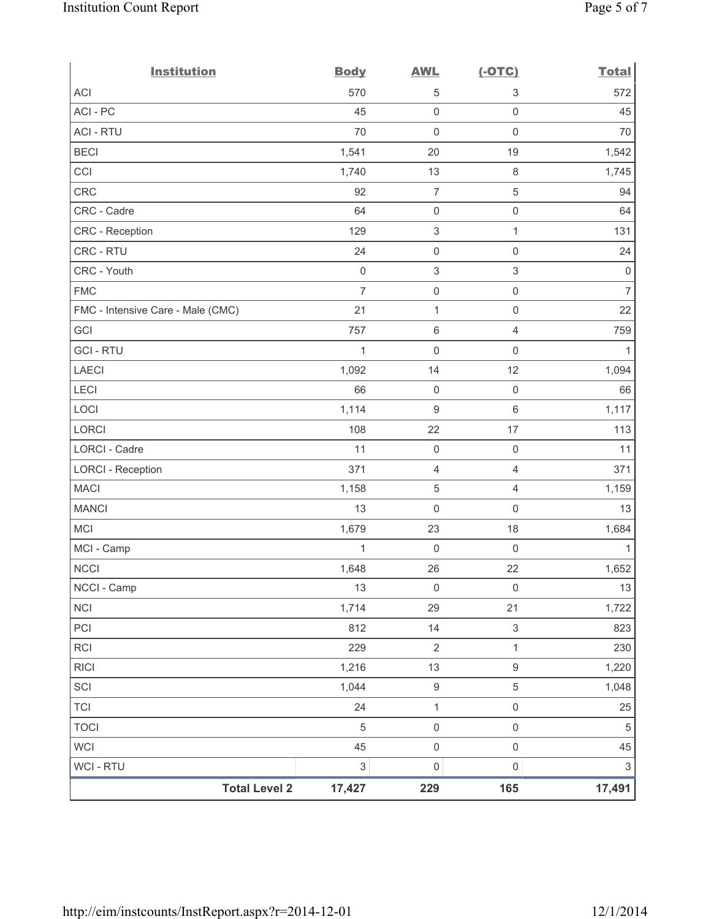| <b>Institution</b>                | <b>Body</b>    | <b>AWL</b>                | $(-OTC)$                  | <b>Total</b>              |
|-----------------------------------|----------------|---------------------------|---------------------------|---------------------------|
| <b>ACI</b>                        | 570            | 5                         | 3                         | 572                       |
| ACI - PC                          | 45             | $\mathsf{O}\xspace$       | 0                         | 45                        |
| <b>ACI - RTU</b>                  | 70             | $\mathbf 0$               | $\mathsf{O}\xspace$       | 70                        |
| <b>BECI</b>                       | 1,541          | 20                        | 19                        | 1,542                     |
| CCI                               | 1,740          | 13                        | $\,8\,$                   | 1,745                     |
| CRC                               | 92             | $\boldsymbol{7}$          | 5                         | 94                        |
| CRC - Cadre                       | 64             | $\mathsf{O}\xspace$       | $\mathsf 0$               | 64                        |
| CRC - Reception                   | 129            | $\ensuremath{\mathsf{3}}$ | 1                         | 131                       |
| CRC - RTU                         | 24             | $\mathsf{O}\xspace$       | $\mathsf{O}\xspace$       | 24                        |
| CRC - Youth                       | $\mathbf 0$    | $\,$ 3 $\,$               | 3                         | $\mathbf 0$               |
| <b>FMC</b>                        | $\overline{7}$ | $\mathsf{O}\xspace$       | $\mathsf 0$               | $\overline{7}$            |
| FMC - Intensive Care - Male (CMC) | 21             | $\mathbf{1}$              | $\mathsf{O}\xspace$       | 22                        |
| GCI                               | 757            | $\,6\,$                   | 4                         | 759                       |
| <b>GCI-RTU</b>                    | 1              | $\mathsf{O}\xspace$       | $\mathsf{O}\xspace$       | 1                         |
| <b>LAECI</b>                      | 1,092          | 14                        | 12                        | 1,094                     |
| LECI                              | 66             | $\mathsf{O}\xspace$       | $\mathsf{O}\xspace$       | 66                        |
| LOCI                              | 1,114          | $\boldsymbol{9}$          | $6\,$                     | 1,117                     |
| <b>LORCI</b>                      | 108            | 22                        | 17                        | 113                       |
| LORCI - Cadre                     | 11             | $\mathsf{O}\xspace$       | $\mathsf 0$               | 11                        |
| <b>LORCI - Reception</b>          | 371            | $\overline{4}$            | 4                         | 371                       |
| <b>MACI</b>                       | 1,158          | $\,$ 5 $\,$               | $\overline{4}$            | 1,159                     |
| <b>MANCI</b>                      | 13             | $\mathbf 0$               | $\mathsf{O}\xspace$       | 13                        |
| <b>MCI</b>                        | 1,679          | 23                        | 18                        | 1,684                     |
| MCI - Camp                        | $\mathbf{1}$   | $\mathbf 0$               | $\mathsf 0$               | 1                         |
| <b>NCCI</b>                       | 1,648          | 26                        | 22                        | 1,652                     |
| NCCI - Camp                       | 13             | $\mathsf{O}\xspace$       | $\mathsf 0$               | $13$                      |
| <b>NCI</b>                        | 1,714          | 29                        | 21                        | 1,722                     |
| PCI                               | 812            | 14                        | $\ensuremath{\mathsf{3}}$ | 823                       |
| RCI                               | 229            | $\sqrt{2}$                | 1                         | 230                       |
| <b>RICI</b>                       | 1,216          | 13                        | $\mathsf g$               | 1,220                     |
| SCI                               | 1,044          | $\boldsymbol{9}$          | 5                         | 1,048                     |
| <b>TCI</b>                        | 24             | $\mathbf{1}$              | $\mathsf{O}\xspace$       | 25                        |
| <b>TOCI</b>                       | 5              | $\mathsf{O}\xspace$       | $\mathsf{O}\xspace$       | $\sqrt{5}$                |
| <b>WCI</b>                        | 45             | $\mathsf{O}\xspace$       | $\mathsf{O}\xspace$       | 45                        |
| WCI - RTU                         | 3              | $\mathsf{O}\xspace$       | $\mathsf{O}\xspace$       | $\ensuremath{\mathsf{3}}$ |
| <b>Total Level 2</b>              | 17,427         | 229                       | 165                       | 17,491                    |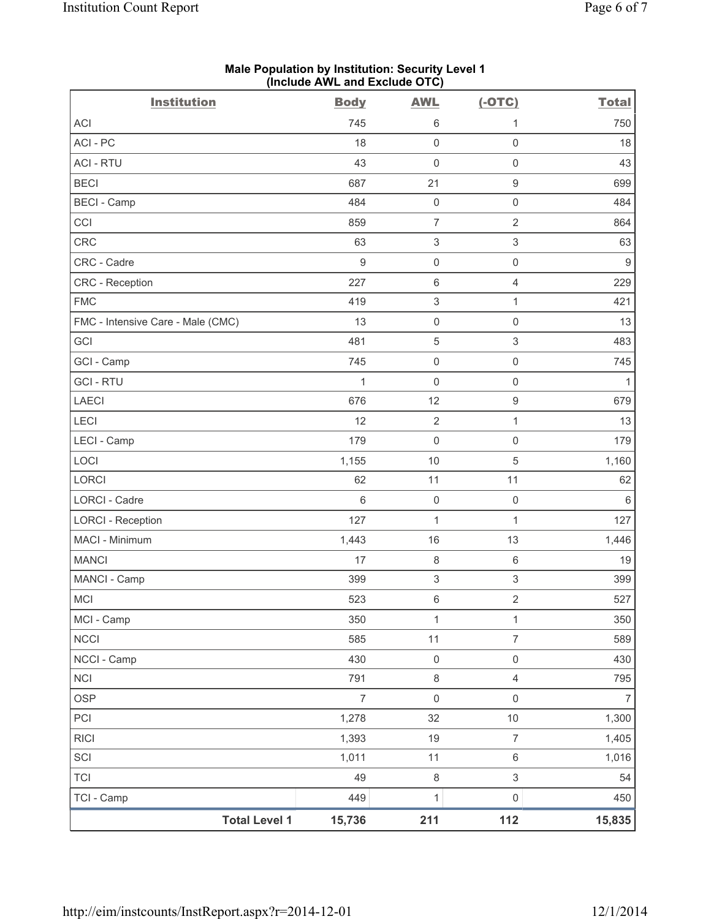|                                   | (illuluut AvvL allu Exuluut OTO) |                           |                           |                  |
|-----------------------------------|----------------------------------|---------------------------|---------------------------|------------------|
| <b>Institution</b>                | <b>Body</b>                      | <b>AWL</b>                | $(-OTC)$                  | <b>Total</b>     |
| ACI                               | 745                              | 6                         | 1                         | 750              |
| ACI-PC                            | 18                               | $\mathsf{O}\xspace$       | $\mathsf{O}\xspace$       | 18               |
| <b>ACI - RTU</b>                  | 43                               | $\mathsf{O}\xspace$       | $\mathsf{O}\xspace$       | 43               |
| <b>BECI</b>                       | 687                              | 21                        | $\boldsymbol{9}$          | 699              |
| <b>BECI</b> - Camp                | 484                              | $\mathbf 0$               | $\mathsf 0$               | 484              |
| CCI                               | 859                              | $\overline{7}$            | $\overline{2}$            | 864              |
| CRC                               | 63                               | $\ensuremath{\mathsf{3}}$ | $\ensuremath{\mathsf{3}}$ | 63               |
| CRC - Cadre                       | $\boldsymbol{9}$                 | $\mathbf 0$               | $\mathsf{O}\xspace$       | $\boldsymbol{9}$ |
| CRC - Reception                   | 227                              | $6\,$                     | 4                         | 229              |
| <b>FMC</b>                        | 419                              | $\ensuremath{\mathsf{3}}$ | 1                         | 421              |
| FMC - Intensive Care - Male (CMC) | 13                               | $\mathsf 0$               | $\mathsf 0$               | 13               |
| GCI                               | 481                              | $\mathbf 5$               | $\mathfrak{S}$            | 483              |
| GCI - Camp                        | 745                              | $\mathbf 0$               | $\mathsf{O}\xspace$       | 745              |
| <b>GCI-RTU</b>                    | 1                                | $\mathsf{O}\xspace$       | $\mathsf{O}\xspace$       | $\mathbf{1}$     |
| <b>LAECI</b>                      | 676                              | 12                        | $\hbox{9}$                | 679              |
| LECI                              | 12                               | $\sqrt{2}$                | $\mathbf{1}$              | 13               |
| LECI - Camp                       | 179                              | $\mathsf{O}\xspace$       | $\mathsf{O}\xspace$       | 179              |
| LOCI                              | 1,155                            | 10                        | $\,$ 5 $\,$               | 1,160            |
| LORCI                             | 62                               | 11                        | 11                        | 62               |
| <b>LORCI - Cadre</b>              | $\,6\,$                          | $\mathbf 0$               | $\mathsf{O}\xspace$       | $\,6\,$          |
| <b>LORCI - Reception</b>          | 127                              | $\mathbf{1}$              | $\mathbf{1}$              | 127              |
| MACI - Minimum                    | 1,443                            | 16                        | 13                        | 1,446            |
| <b>MANCI</b>                      | 17                               | $\,8\,$                   | $\,6\,$                   | 19               |
| MANCI - Camp                      | 399                              | $\ensuremath{\mathsf{3}}$ | $\ensuremath{\mathsf{3}}$ | 399              |
| MCI                               | 523                              | 6                         | $\sqrt{2}$                | 527              |
| MCI - Camp                        | 350                              | $\mathbf{1}$              | $\mathbf{1}$              | 350              |
| <b>NCCI</b>                       | 585                              | 11                        | $\overline{7}$            | 589              |
| NCCI - Camp                       | 430                              | $\mathbf 0$               | $\mathsf{O}\xspace$       | 430              |
| <b>NCI</b>                        | 791                              | $\,8\,$                   | $\overline{4}$            | 795              |
| <b>OSP</b>                        | $\overline{7}$                   | $\mathsf{O}\xspace$       | $\mathsf{O}\xspace$       | $\overline{7}$   |
| PCI                               | 1,278                            | 32                        | $10$                      | 1,300            |
| <b>RICI</b>                       | 1,393                            | 19                        | $\overline{7}$            | 1,405            |
| SCI                               | 1,011                            | 11                        | $\,6\,$                   | 1,016            |
| <b>TCI</b>                        | 49                               | $\,8\,$                   | $\ensuremath{\mathsf{3}}$ | 54               |
| TCI - Camp                        | 449                              | $\mathbf 1$               | $\mathsf{O}\xspace$       | 450              |
| <b>Total Level 1</b>              | 15,736                           | 211                       | 112                       | 15,835           |

#### **Male Population by Institution: Security Level 1 (Include AWL and Exclude OTC)**